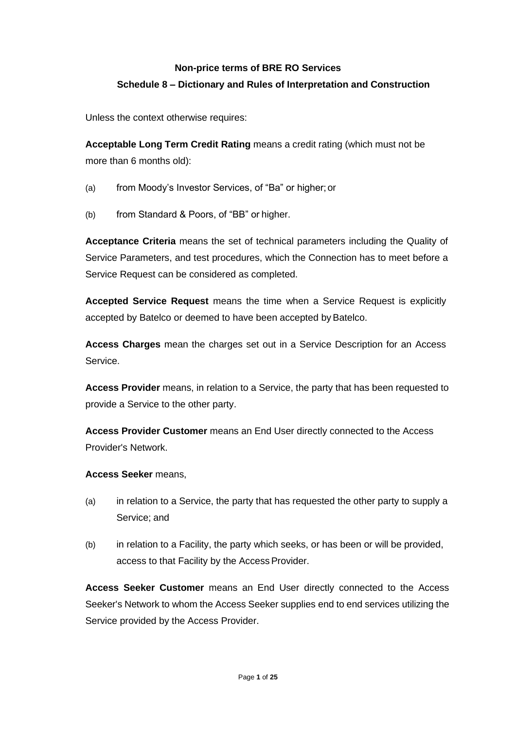# **Non-price terms of BRE RO Services Schedule 8 – Dictionary and Rules of Interpretation and Construction**

Unless the context otherwise requires:

**Acceptable Long Term Credit Rating** means a credit rating (which must not be more than 6 months old):

- (a) from Moody's Investor Services, of "Ba" or higher; or
- (b) from Standard & Poors, of "BB" or higher.

**Acceptance Criteria** means the set of technical parameters including the Quality of Service Parameters, and test procedures, which the Connection has to meet before a Service Request can be considered as completed.

**Accepted Service Request** means the time when a Service Request is explicitly accepted by Batelco or deemed to have been accepted by Batelco.

**Access Charges** mean the charges set out in a Service Description for an Access Service.

**Access Provider** means, in relation to a Service, the party that has been requested to provide a Service to the other party.

**Access Provider Customer** means an End User directly connected to the Access Provider's Network.

#### **Access Seeker** means,

- (a) in relation to a Service, the party that has requested the other party to supply a Service; and
- (b) in relation to a Facility, the party which seeks, or has been or will be provided, access to that Facility by the Access Provider.

**Access Seeker Customer** means an End User directly connected to the Access Seeker's Network to whom the Access Seeker supplies end to end services utilizing the Service provided by the Access Provider.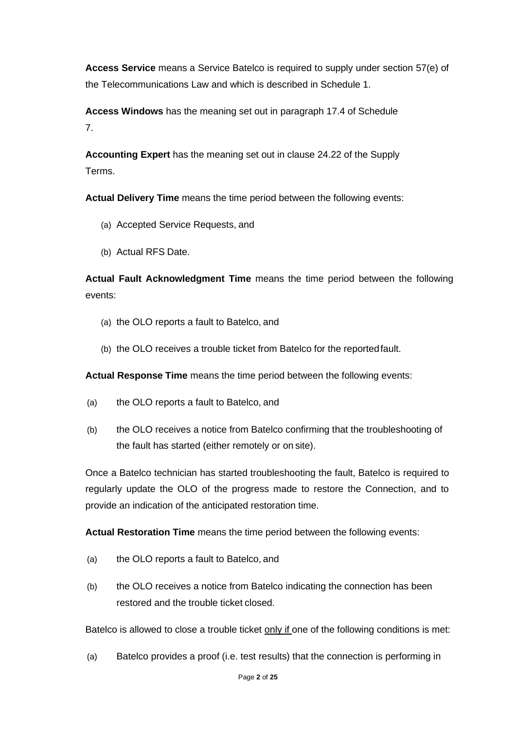**Access Service** means a Service Batelco is required to supply under section 57(e) of the Telecommunications Law and which is described in Schedule 1.

**Access Windows** has the meaning set out in paragraph 17.4 of Schedule 7.

**Accounting Expert** has the meaning set out in clause 24.22 of the Supply Terms.

**Actual Delivery Time** means the time period between the following events:

- (a) Accepted Service Requests, and
- (b) Actual RFS Date.

**Actual Fault Acknowledgment Time** means the time period between the following events:

- (a) the OLO reports a fault to Batelco, and
- (b) the OLO receives a trouble ticket from Batelco for the reportedfault.

**Actual Response Time** means the time period between the following events:

- (a) the OLO reports a fault to Batelco, and
- (b) the OLO receives a notice from Batelco confirming that the troubleshooting of the fault has started (either remotely or on site).

Once a Batelco technician has started troubleshooting the fault, Batelco is required to regularly update the OLO of the progress made to restore the Connection, and to provide an indication of the anticipated restoration time.

**Actual Restoration Time** means the time period between the following events:

- (a) the OLO reports a fault to Batelco, and
- (b) the OLO receives a notice from Batelco indicating the connection has been restored and the trouble ticket closed.

Batelco is allowed to close a trouble ticket only if one of the following conditions is met:

(a) Batelco provides a proof (i.e. test results) that the connection is performing in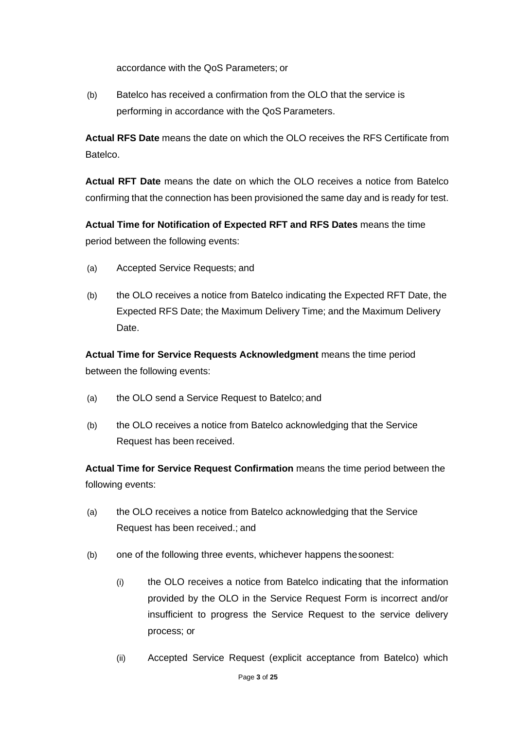accordance with the QoS Parameters; or

(b) Batelco has received a confirmation from the OLO that the service is performing in accordance with the QoS Parameters.

**Actual RFS Date** means the date on which the OLO receives the RFS Certificate from Batelco.

**Actual RFT Date** means the date on which the OLO receives a notice from Batelco confirming that the connection has been provisioned the same day and is ready for test.

**Actual Time for Notification of Expected RFT and RFS Dates** means the time period between the following events:

- (a) Accepted Service Requests; and
- (b) the OLO receives a notice from Batelco indicating the Expected RFT Date, the Expected RFS Date; the Maximum Delivery Time; and the Maximum Delivery Date.

**Actual Time for Service Requests Acknowledgment** means the time period between the following events:

- (a) the OLO send a Service Request to Batelco; and
- (b) the OLO receives a notice from Batelco acknowledging that the Service Request has been received.

**Actual Time for Service Request Confirmation** means the time period between the following events:

- (a) the OLO receives a notice from Batelco acknowledging that the Service Request has been received.; and
- (b) one of the following three events, whichever happens thesoonest:
	- (i) the OLO receives a notice from Batelco indicating that the information provided by the OLO in the Service Request Form is incorrect and/or insufficient to progress the Service Request to the service delivery process; or
	- (ii) Accepted Service Request (explicit acceptance from Batelco) which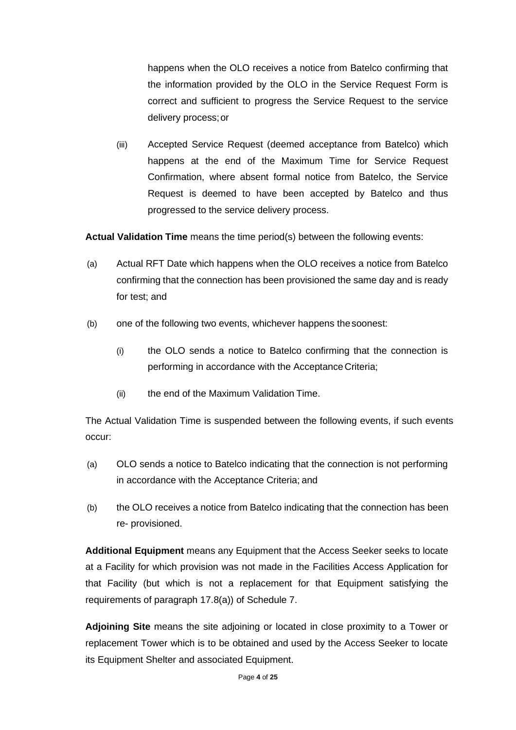happens when the OLO receives a notice from Batelco confirming that the information provided by the OLO in the Service Request Form is correct and sufficient to progress the Service Request to the service delivery process;or

(iii) Accepted Service Request (deemed acceptance from Batelco) which happens at the end of the Maximum Time for Service Request Confirmation, where absent formal notice from Batelco, the Service Request is deemed to have been accepted by Batelco and thus progressed to the service delivery process.

**Actual Validation Time** means the time period(s) between the following events:

- (a) Actual RFT Date which happens when the OLO receives a notice from Batelco confirming that the connection has been provisioned the same day and is ready for test; and
- (b) one of the following two events, whichever happens thesoonest:
	- (i) the OLO sends a notice to Batelco confirming that the connection is performing in accordance with the Acceptance Criteria;
	- (ii) the end of the Maximum Validation Time.

The Actual Validation Time is suspended between the following events, if such events occur:

- (a) OLO sends a notice to Batelco indicating that the connection is not performing in accordance with the Acceptance Criteria; and
- (b) the OLO receives a notice from Batelco indicating that the connection has been re- provisioned.

**Additional Equipment** means any Equipment that the Access Seeker seeks to locate at a Facility for which provision was not made in the Facilities Access Application for that Facility (but which is not a replacement for that Equipment satisfying the requirements of paragraph 17.8(a)) of Schedule 7.

**Adjoining Site** means the site adjoining or located in close proximity to a Tower or replacement Tower which is to be obtained and used by the Access Seeker to locate its Equipment Shelter and associated Equipment.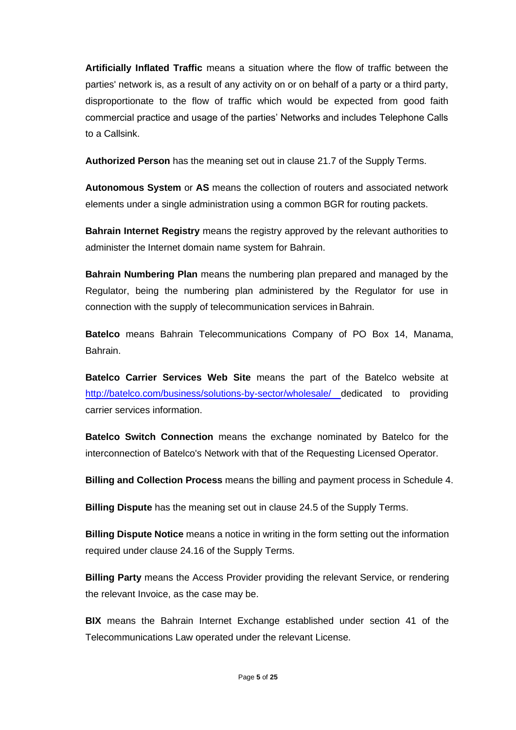**Artificially Inflated Traffic** means a situation where the flow of traffic between the parties' network is, as a result of any activity on or on behalf of a party or a third party, disproportionate to the flow of traffic which would be expected from good faith commercial practice and usage of the parties' Networks and includes Telephone Calls to a Callsink.

**Authorized Person** has the meaning set out in clause 21.7 of the Supply Terms.

**Autonomous System** or **AS** means the collection of routers and associated network elements under a single administration using a common BGR for routing packets.

**Bahrain Internet Registry** means the registry approved by the relevant authorities to administer the Internet domain name system for Bahrain.

**Bahrain Numbering Plan** means the numbering plan prepared and managed by the Regulator, being the numbering plan administered by the Regulator for use in connection with the supply of telecommunication services inBahrain.

**Batelco** means Bahrain Telecommunications Company of PO Box 14, Manama, Bahrain.

**Batelco Carrier Services Web Site** means the part of the Batelco website at <http://batelco.com/business/solutions-by-sector/wholesale/> dedicated to providing carrier services information.

**Batelco Switch Connection** means the exchange nominated by Batelco for the interconnection of Batelco's Network with that of the Requesting Licensed Operator.

**Billing and Collection Process** means the billing and payment process in Schedule 4.

**Billing Dispute** has the meaning set out in clause 24.5 of the Supply Terms.

**Billing Dispute Notice** means a notice in writing in the form setting out the information required under clause 24.16 of the Supply Terms.

**Billing Party** means the Access Provider providing the relevant Service, or rendering the relevant Invoice, as the case may be.

**BIX** means the Bahrain Internet Exchange established under section 41 of the Telecommunications Law operated under the relevant License.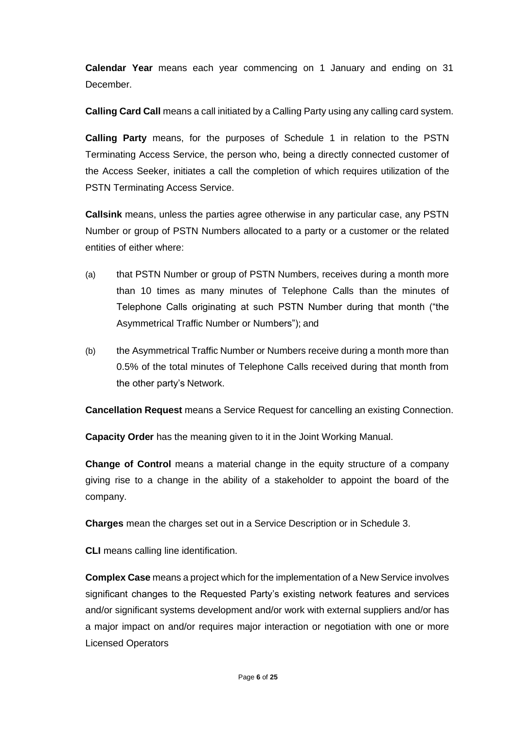**Calendar Year** means each year commencing on 1 January and ending on 31 December.

**Calling Card Call** means a call initiated by a Calling Party using any calling card system.

**Calling Party** means, for the purposes of Schedule 1 in relation to the PSTN Terminating Access Service, the person who, being a directly connected customer of the Access Seeker, initiates a call the completion of which requires utilization of the PSTN Terminating Access Service.

**Callsink** means, unless the parties agree otherwise in any particular case, any PSTN Number or group of PSTN Numbers allocated to a party or a customer or the related entities of either where:

- (a) that PSTN Number or group of PSTN Numbers, receives during a month more than 10 times as many minutes of Telephone Calls than the minutes of Telephone Calls originating at such PSTN Number during that month ("the Asymmetrical Traffic Number or Numbers"); and
- (b) the Asymmetrical Traffic Number or Numbers receive during a month more than 0.5% of the total minutes of Telephone Calls received during that month from the other party's Network.

**Cancellation Request** means a Service Request for cancelling an existing Connection.

**Capacity Order** has the meaning given to it in the Joint Working Manual.

**Change of Control** means a material change in the equity structure of a company giving rise to a change in the ability of a stakeholder to appoint the board of the company.

**Charges** mean the charges set out in a Service Description or in Schedule 3.

**CLI** means calling line identification.

**Complex Case** means a project which for the implementation of a New Service involves significant changes to the Requested Party's existing network features and services and/or significant systems development and/or work with external suppliers and/or has a major impact on and/or requires major interaction or negotiation with one or more Licensed Operators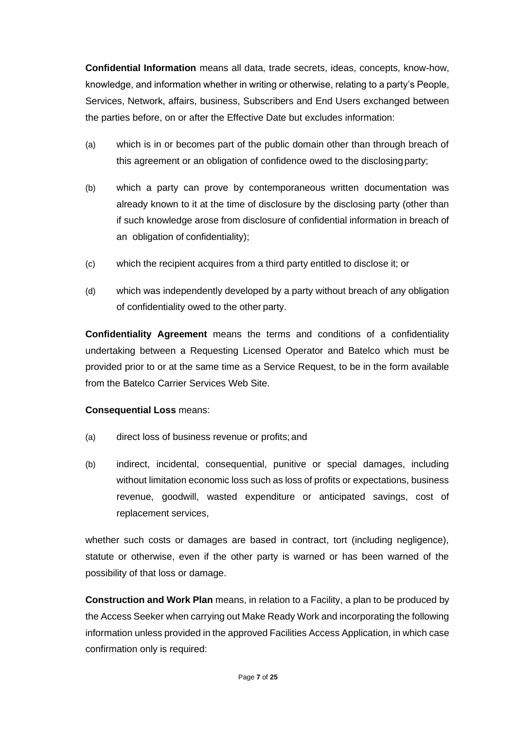**Confidential Information** means all data, trade secrets, ideas, concepts, know-how, knowledge, and information whether in writing or otherwise, relating to a party's People, Services, Network, affairs, business, Subscribers and End Users exchanged between the parties before, on or after the Effective Date but excludes information:

- (a) which is in or becomes part of the public domain other than through breach of this agreement or an obligation of confidence owed to the disclosingparty;
- (b) which a party can prove by contemporaneous written documentation was already known to it at the time of disclosure by the disclosing party (other than if such knowledge arose from disclosure of confidential information in breach of an obligation of confidentiality);
- (c) which the recipient acquires from a third party entitled to disclose it; or
- (d) which was independently developed by a party without breach of any obligation of confidentiality owed to the other party.

**Confidentiality Agreement** means the terms and conditions of a confidentiality undertaking between a Requesting Licensed Operator and Batelco which must be provided prior to or at the same time as a Service Request, to be in the form available from the Batelco Carrier Services Web Site.

# **Consequential Loss** means:

- (a) direct loss of business revenue or profits; and
- (b) indirect, incidental, consequential, punitive or special damages, including without limitation economic loss such as loss of profits or expectations, business revenue, goodwill, wasted expenditure or anticipated savings, cost of replacement services,

whether such costs or damages are based in contract, tort (including negligence), statute or otherwise, even if the other party is warned or has been warned of the possibility of that loss or damage.

**Construction and Work Plan** means, in relation to a Facility, a plan to be produced by the Access Seeker when carrying out Make Ready Work and incorporating the following information unless provided in the approved Facilities Access Application, in which case confirmation only is required: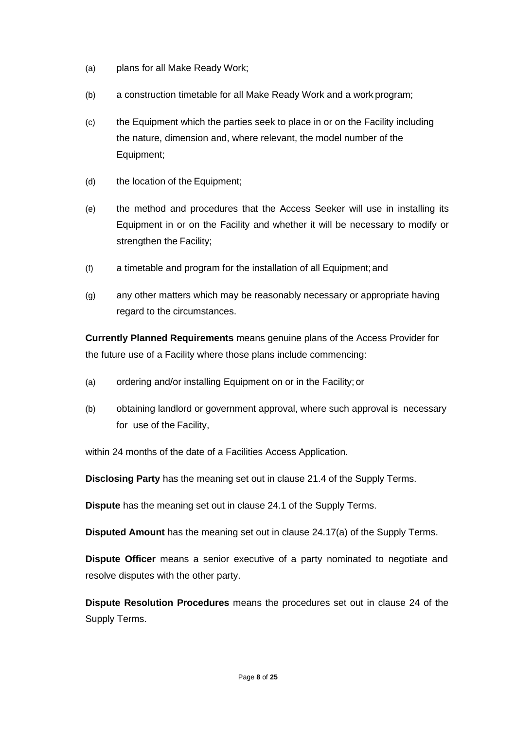- (a) plans for all Make Ready Work;
- (b) a construction timetable for all Make Ready Work and a work program;
- (c) the Equipment which the parties seek to place in or on the Facility including the nature, dimension and, where relevant, the model number of the Equipment;
- (d) the location of the Equipment;
- (e) the method and procedures that the Access Seeker will use in installing its Equipment in or on the Facility and whether it will be necessary to modify or strengthen the Facility;
- (f) a timetable and program for the installation of all Equipment;and
- (g) any other matters which may be reasonably necessary or appropriate having regard to the circumstances.

**Currently Planned Requirements** means genuine plans of the Access Provider for the future use of a Facility where those plans include commencing:

- (a) ordering and/or installing Equipment on or in the Facility; or
- (b) obtaining landlord or government approval, where such approval is necessary for use of the Facility,

within 24 months of the date of a Facilities Access Application.

**Disclosing Party** has the meaning set out in clause 21.4 of the Supply Terms.

**Dispute** has the meaning set out in clause 24.1 of the Supply Terms.

**Disputed Amount** has the meaning set out in clause 24.17(a) of the Supply Terms.

**Dispute Officer** means a senior executive of a party nominated to negotiate and resolve disputes with the other party.

**Dispute Resolution Procedures** means the procedures set out in clause 24 of the Supply Terms.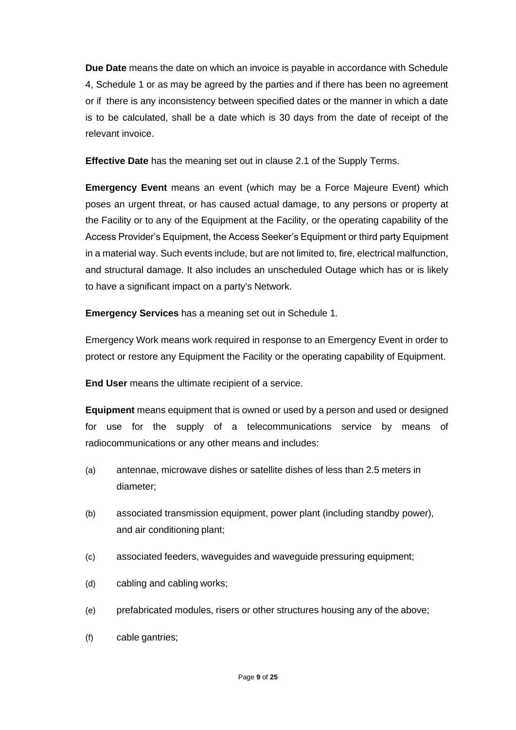**Due Date** means the date on which an invoice is payable in accordance with Schedule 4, Schedule 1 or as may be agreed by the parties and if there has been no agreement or if there is any inconsistency between specified dates or the manner in which a date is to be calculated, shall be a date which is 30 days from the date of receipt of the relevant invoice.

**Effective Date** has the meaning set out in clause 2.1 of the Supply Terms.

**Emergency Event** means an event (which may be a Force Majeure Event) which poses an urgent threat, or has caused actual damage, to any persons or property at the Facility or to any of the Equipment at the Facility, or the operating capability of the Access Provider's Equipment, the Access Seeker's Equipment or third party Equipment in a material way. Such events include, but are not limited to, fire, electrical malfunction, and structural damage. It also includes an unscheduled Outage which has or is likely to have a significant impact on a party's Network.

**Emergency Services** has a meaning set out in Schedule 1.

Emergency Work means work required in response to an Emergency Event in order to protect or restore any Equipment the Facility or the operating capability of Equipment.

**End User** means the ultimate recipient of a service.

**Equipment** means equipment that is owned or used by a person and used or designed for use for the supply of a telecommunications service by means of radiocommunications or any other means and includes:

- (a) antennae, microwave dishes or satellite dishes of less than 2.5 meters in diameter;
- (b) associated transmission equipment, power plant (including standby power), and air conditioning plant;
- (c) associated feeders, waveguides and waveguide pressuring equipment;
- (d) cabling and cabling works;
- (e) prefabricated modules, risers or other structures housing any of the above;
- (f) cable gantries;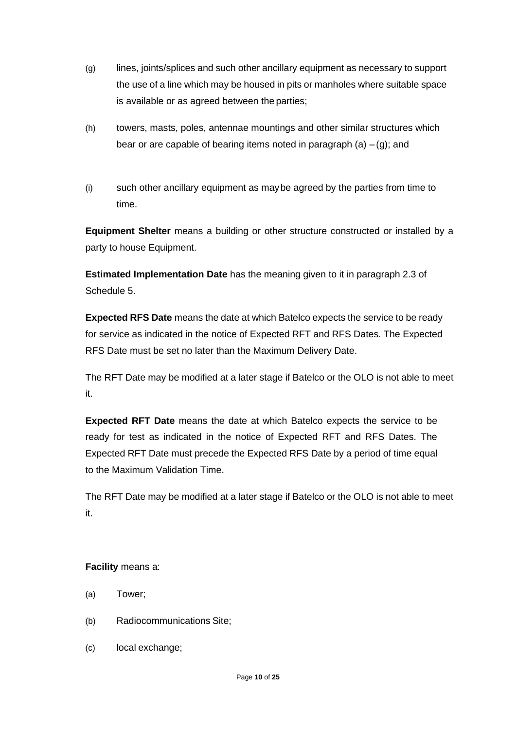- (g) lines, joints/splices and such other ancillary equipment as necessary to support the use of a line which may be housed in pits or manholes where suitable space is available or as agreed between the parties;
- (h) towers, masts, poles, antennae mountings and other similar structures which bear or are capable of bearing items noted in paragraph  $(a) - (g)$ ; and
- (i) such other ancillary equipment as maybe agreed by the parties from time to time.

**Equipment Shelter** means a building or other structure constructed or installed by a party to house Equipment.

**Estimated Implementation Date** has the meaning given to it in paragraph 2.3 of Schedule 5.

**Expected RFS Date** means the date at which Batelco expects the service to be ready for service as indicated in the notice of Expected RFT and RFS Dates. The Expected RFS Date must be set no later than the Maximum Delivery Date.

The RFT Date may be modified at a later stage if Batelco or the OLO is not able to meet it.

**Expected RFT Date** means the date at which Batelco expects the service to be ready for test as indicated in the notice of Expected RFT and RFS Dates. The Expected RFT Date must precede the Expected RFS Date by a period of time equal to the Maximum Validation Time.

The RFT Date may be modified at a later stage if Batelco or the OLO is not able to meet it.

# **Facility** means a:

- (a) Tower;
- (b) Radiocommunications Site;
- (c) local exchange;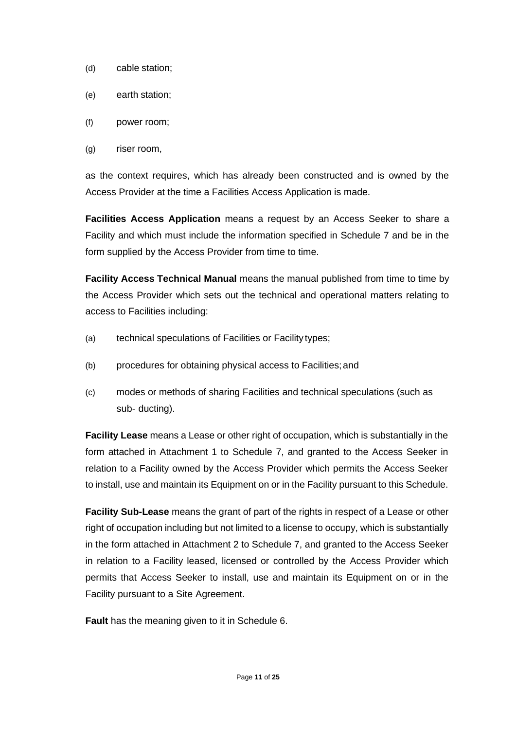- (d) cable station;
- (e) earth station;
- (f) power room;
- (g) riser room,

as the context requires, which has already been constructed and is owned by the Access Provider at the time a Facilities Access Application is made.

**Facilities Access Application** means a request by an Access Seeker to share a Facility and which must include the information specified in Schedule 7 and be in the form supplied by the Access Provider from time to time.

**Facility Access Technical Manual** means the manual published from time to time by the Access Provider which sets out the technical and operational matters relating to access to Facilities including:

- (a) technical speculations of Facilities or Facility types;
- (b) procedures for obtaining physical access to Facilities;and
- (c) modes or methods of sharing Facilities and technical speculations (such as sub- ducting).

**Facility Lease** means a Lease or other right of occupation, which is substantially in the form attached in Attachment 1 to Schedule 7, and granted to the Access Seeker in relation to a Facility owned by the Access Provider which permits the Access Seeker to install, use and maintain its Equipment on or in the Facility pursuant to this Schedule.

**Facility Sub-Lease** means the grant of part of the rights in respect of a Lease or other right of occupation including but not limited to a license to occupy, which is substantially in the form attached in Attachment 2 to Schedule 7, and granted to the Access Seeker in relation to a Facility leased, licensed or controlled by the Access Provider which permits that Access Seeker to install, use and maintain its Equipment on or in the Facility pursuant to a Site Agreement.

**Fault** has the meaning given to it in Schedule 6.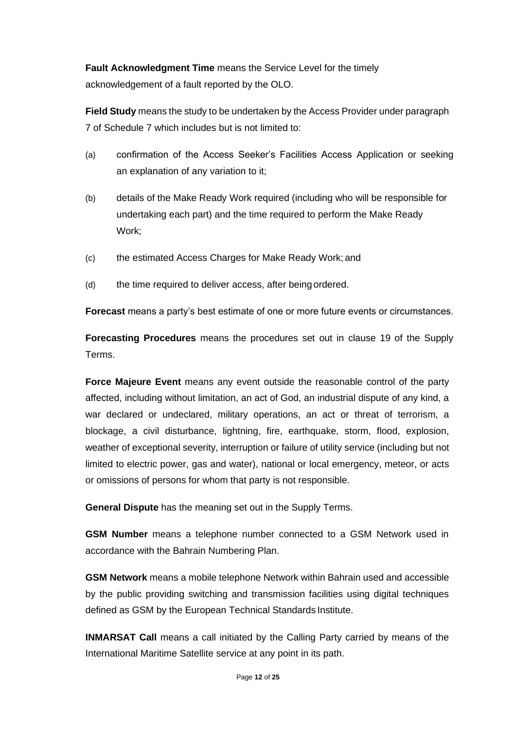**Fault Acknowledgment Time** means the Service Level for the timely acknowledgement of a fault reported by the OLO.

**Field Study** means the study to be undertaken by the Access Provider under paragraph 7 of Schedule 7 which includes but is not limited to:

- (a) confirmation of the Access Seeker's Facilities Access Application or seeking an explanation of any variation to it;
- (b) details of the Make Ready Work required (including who will be responsible for undertaking each part) and the time required to perform the Make Ready Work;
- (c) the estimated Access Charges for Make Ready Work; and
- (d) the time required to deliver access, after being ordered.

**Forecast** means a party's best estimate of one or more future events or circumstances.

**Forecasting Procedures** means the procedures set out in clause 19 of the Supply Terms.

**Force Majeure Event** means any event outside the reasonable control of the party affected, including without limitation, an act of God, an industrial dispute of any kind, a war declared or undeclared, military operations, an act or threat of terrorism, a blockage, a civil disturbance, lightning, fire, earthquake, storm, flood, explosion, weather of exceptional severity, interruption or failure of utility service (including but not limited to electric power, gas and water), national or local emergency, meteor, or acts or omissions of persons for whom that party is not responsible.

**General Dispute** has the meaning set out in the Supply Terms.

**GSM Number** means a telephone number connected to a GSM Network used in accordance with the Bahrain Numbering Plan.

**GSM Network** means a mobile telephone Network within Bahrain used and accessible by the public providing switching and transmission facilities using digital techniques defined as GSM by the European Technical Standards Institute.

**INMARSAT Call** means a call initiated by the Calling Party carried by means of the International Maritime Satellite service at any point in its path.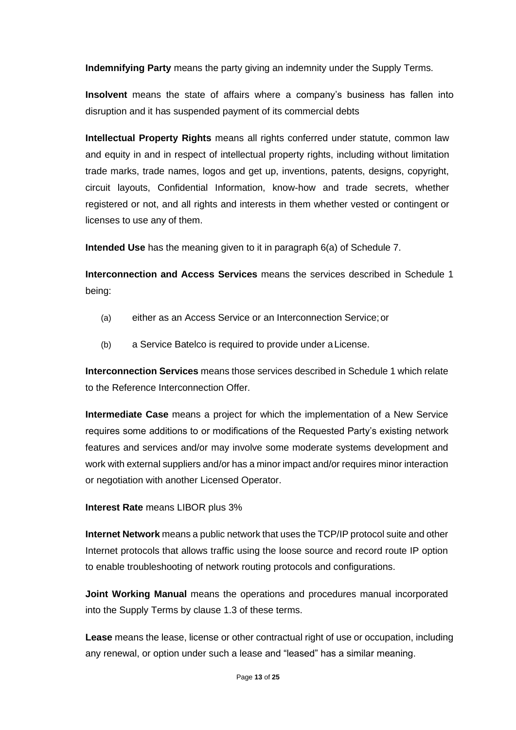**Indemnifying Party** means the party giving an indemnity under the Supply Terms.

**Insolvent** means the state of affairs where a company's business has fallen into disruption and it has suspended payment of its commercial debts

**Intellectual Property Rights** means all rights conferred under statute, common law and equity in and in respect of intellectual property rights, including without limitation trade marks, trade names, logos and get up, inventions, patents, designs, copyright, circuit layouts, Confidential Information, know-how and trade secrets, whether registered or not, and all rights and interests in them whether vested or contingent or licenses to use any of them.

**Intended Use** has the meaning given to it in paragraph 6(a) of Schedule 7.

**Interconnection and Access Services** means the services described in Schedule 1 being:

- (a) either as an Access Service or an Interconnection Service;or
- (b) a Service Batelco is required to provide under aLicense.

**Interconnection Services** means those services described in Schedule 1 which relate to the Reference Interconnection Offer.

**Intermediate Case** means a project for which the implementation of a New Service requires some additions to or modifications of the Requested Party's existing network features and services and/or may involve some moderate systems development and work with external suppliers and/or has a minor impact and/or requires minor interaction or negotiation with another Licensed Operator.

#### **Interest Rate** means LIBOR plus 3%

**Internet Network** means a public network that uses the TCP/IP protocol suite and other Internet protocols that allows traffic using the loose source and record route IP option to enable troubleshooting of network routing protocols and configurations.

**Joint Working Manual** means the operations and procedures manual incorporated into the Supply Terms by clause 1.3 of these terms.

**Lease** means the lease, license or other contractual right of use or occupation, including any renewal, or option under such a lease and "leased" has a similar meaning.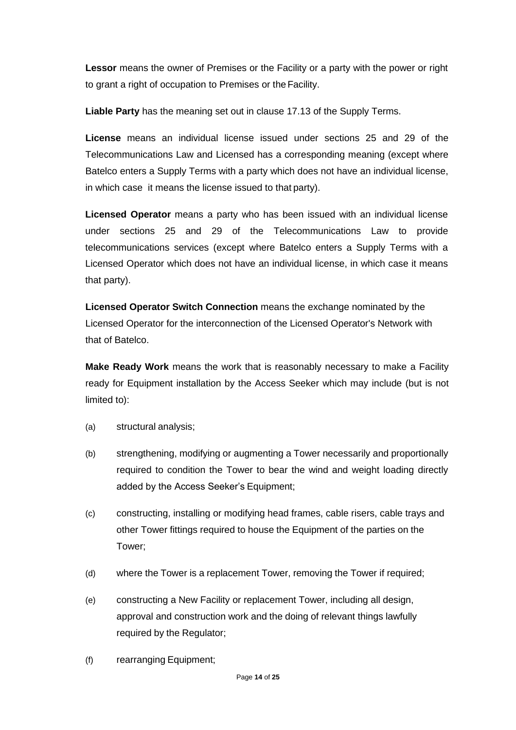**Lessor** means the owner of Premises or the Facility or a party with the power or right to grant a right of occupation to Premises or theFacility.

**Liable Party** has the meaning set out in clause 17.13 of the Supply Terms.

**License** means an individual license issued under sections 25 and 29 of the Telecommunications Law and Licensed has a corresponding meaning (except where Batelco enters a Supply Terms with a party which does not have an individual license, in which case it means the license issued to that party).

**Licensed Operator** means a party who has been issued with an individual license under sections 25 and 29 of the Telecommunications Law to provide telecommunications services (except where Batelco enters a Supply Terms with a Licensed Operator which does not have an individual license, in which case it means that party).

**Licensed Operator Switch Connection** means the exchange nominated by the Licensed Operator for the interconnection of the Licensed Operator's Network with that of Batelco.

**Make Ready Work** means the work that is reasonably necessary to make a Facility ready for Equipment installation by the Access Seeker which may include (but is not limited to):

- (a) structural analysis;
- (b) strengthening, modifying or augmenting a Tower necessarily and proportionally required to condition the Tower to bear the wind and weight loading directly added by the Access Seeker's Equipment;
- (c) constructing, installing or modifying head frames, cable risers, cable trays and other Tower fittings required to house the Equipment of the parties on the Tower;
- (d) where the Tower is a replacement Tower, removing the Tower if required;
- (e) constructing a New Facility or replacement Tower, including all design, approval and construction work and the doing of relevant things lawfully required by the Regulator;
- (f) rearranging Equipment;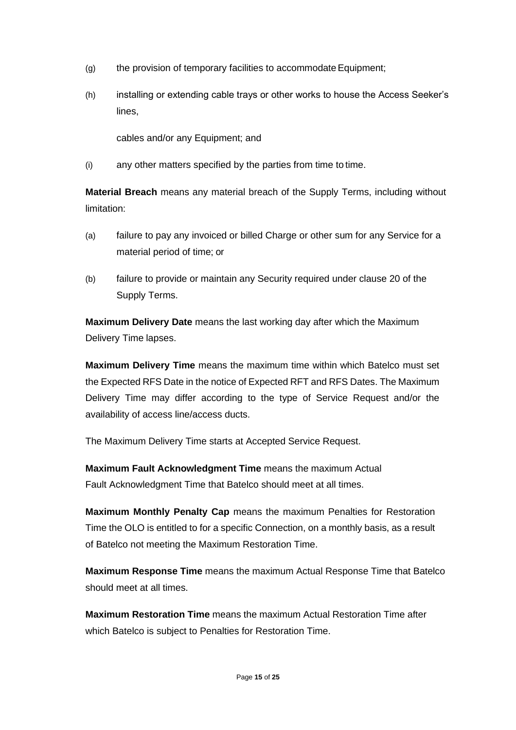- $(q)$  the provision of temporary facilities to accommodate Equipment;
- (h) installing or extending cable trays or other works to house the Access Seeker's lines,

cables and/or any Equipment; and

(i) any other matters specified by the parties from time to time.

**Material Breach** means any material breach of the Supply Terms, including without limitation:

- (a) failure to pay any invoiced or billed Charge or other sum for any Service for a material period of time; or
- (b) failure to provide or maintain any Security required under clause 20 of the Supply Terms.

**Maximum Delivery Date** means the last working day after which the Maximum Delivery Time lapses.

**Maximum Delivery Time** means the maximum time within which Batelco must set the Expected RFS Date in the notice of Expected RFT and RFS Dates. The Maximum Delivery Time may differ according to the type of Service Request and/or the availability of access line/access ducts.

The Maximum Delivery Time starts at Accepted Service Request.

**Maximum Fault Acknowledgment Time** means the maximum Actual Fault Acknowledgment Time that Batelco should meet at all times.

**Maximum Monthly Penalty Cap** means the maximum Penalties for Restoration Time the OLO is entitled to for a specific Connection, on a monthly basis, as a result of Batelco not meeting the Maximum Restoration Time.

**Maximum Response Time** means the maximum Actual Response Time that Batelco should meet at all times.

**Maximum Restoration Time** means the maximum Actual Restoration Time after which Batelco is subject to Penalties for Restoration Time.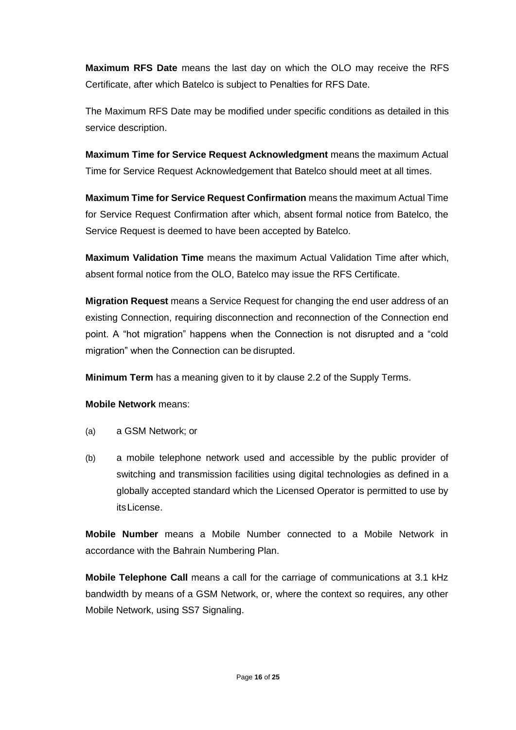**Maximum RFS Date** means the last day on which the OLO may receive the RFS Certificate, after which Batelco is subject to Penalties for RFS Date.

The Maximum RFS Date may be modified under specific conditions as detailed in this service description.

**Maximum Time for Service Request Acknowledgment** means the maximum Actual Time for Service Request Acknowledgement that Batelco should meet at all times.

**Maximum Time for Service Request Confirmation** means the maximum Actual Time for Service Request Confirmation after which, absent formal notice from Batelco, the Service Request is deemed to have been accepted by Batelco.

**Maximum Validation Time** means the maximum Actual Validation Time after which, absent formal notice from the OLO, Batelco may issue the RFS Certificate.

**Migration Request** means a Service Request for changing the end user address of an existing Connection, requiring disconnection and reconnection of the Connection end point. A "hot migration" happens when the Connection is not disrupted and a "cold migration" when the Connection can be disrupted.

**Minimum Term** has a meaning given to it by clause 2.2 of the Supply Terms.

**Mobile Network** means:

- (a) a GSM Network; or
- (b) a mobile telephone network used and accessible by the public provider of switching and transmission facilities using digital technologies as defined in a globally accepted standard which the Licensed Operator is permitted to use by itsLicense.

**Mobile Number** means a Mobile Number connected to a Mobile Network in accordance with the Bahrain Numbering Plan.

**Mobile Telephone Call** means a call for the carriage of communications at 3.1 kHz bandwidth by means of a GSM Network, or, where the context so requires, any other Mobile Network, using SS7 Signaling.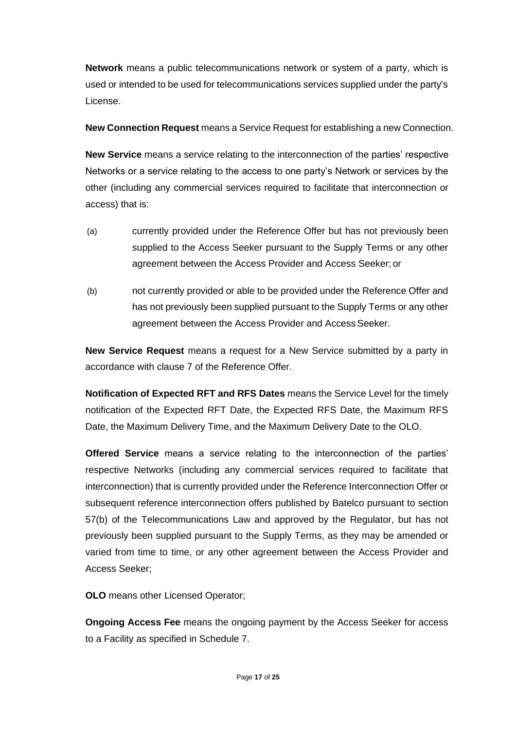**Network** means a public telecommunications network or system of a party, which is used or intended to be used for telecommunications services supplied under the party's License.

**New Connection Request** means a Service Request for establishing a new Connection.

**New Service** means a service relating to the interconnection of the parties' respective Networks or a service relating to the access to one party's Network or services by the other (including any commercial services required to facilitate that interconnection or access) that is:

- (a) currently provided under the Reference Offer but has not previously been supplied to the Access Seeker pursuant to the Supply Terms or any other agreement between the Access Provider and Access Seeker; or
- (b) not currently provided or able to be provided under the Reference Offer and has not previously been supplied pursuant to the Supply Terms or any other agreement between the Access Provider and Access Seeker.

**New Service Request** means a request for a New Service submitted by a party in accordance with clause 7 of the Reference Offer.

**Notification of Expected RFT and RFS Dates** means the Service Level for the timely notification of the Expected RFT Date, the Expected RFS Date, the Maximum RFS Date, the Maximum Delivery Time, and the Maximum Delivery Date to the OLO.

**Offered Service** means a service relating to the interconnection of the parties' respective Networks (including any commercial services required to facilitate that interconnection) that is currently provided under the Reference Interconnection Offer or subsequent reference interconnection offers published by Batelco pursuant to section 57(b) of the Telecommunications Law and approved by the Regulator, but has not previously been supplied pursuant to the Supply Terms, as they may be amended or varied from time to time, or any other agreement between the Access Provider and Access Seeker;

**OLO** means other Licensed Operator;

**Ongoing Access Fee** means the ongoing payment by the Access Seeker for access to a Facility as specified in Schedule 7.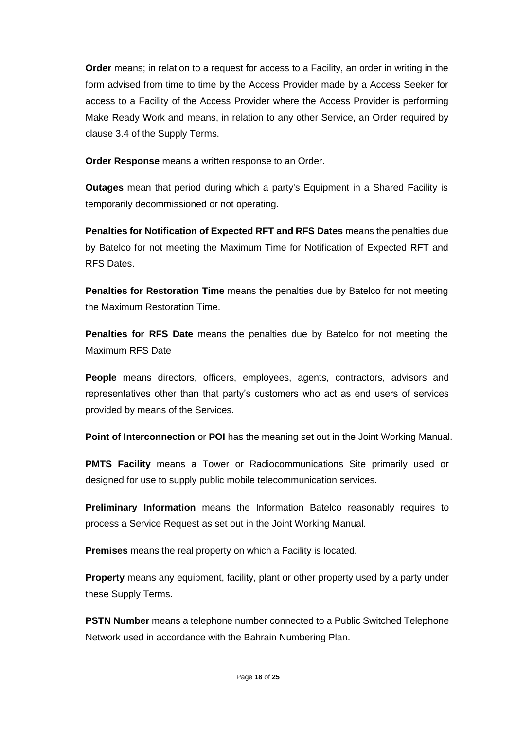**Order** means; in relation to a request for access to a Facility, an order in writing in the form advised from time to time by the Access Provider made by a Access Seeker for access to a Facility of the Access Provider where the Access Provider is performing Make Ready Work and means, in relation to any other Service, an Order required by clause 3.4 of the Supply Terms.

**Order Response** means a written response to an Order.

**Outages** mean that period during which a party's Equipment in a Shared Facility is temporarily decommissioned or not operating.

**Penalties for Notification of Expected RFT and RFS Dates** means the penalties due by Batelco for not meeting the Maximum Time for Notification of Expected RFT and RFS Dates.

**Penalties for Restoration Time** means the penalties due by Batelco for not meeting the Maximum Restoration Time.

**Penalties for RFS Date** means the penalties due by Batelco for not meeting the Maximum RFS Date

**People** means directors, officers, employees, agents, contractors, advisors and representatives other than that party's customers who act as end users of services provided by means of the Services.

**Point of Interconnection** or **POI** has the meaning set out in the Joint Working Manual.

**PMTS Facility** means a Tower or Radiocommunications Site primarily used or designed for use to supply public mobile telecommunication services.

**Preliminary Information** means the Information Batelco reasonably requires to process a Service Request as set out in the Joint Working Manual.

**Premises** means the real property on which a Facility is located.

**Property** means any equipment, facility, plant or other property used by a party under these Supply Terms.

**PSTN Number** means a telephone number connected to a Public Switched Telephone Network used in accordance with the Bahrain Numbering Plan.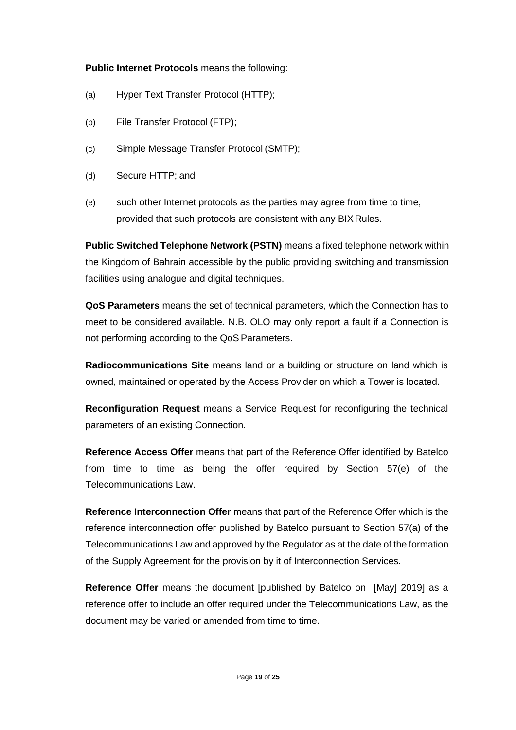# **Public Internet Protocols** means the following:

- (a) Hyper Text Transfer Protocol (HTTP);
- (b) File Transfer Protocol (FTP);
- (c) Simple Message Transfer Protocol (SMTP);
- (d) Secure HTTP; and
- (e) such other Internet protocols as the parties may agree from time to time, provided that such protocols are consistent with any BIX Rules.

**Public Switched Telephone Network (PSTN)** means a fixed telephone network within the Kingdom of Bahrain accessible by the public providing switching and transmission facilities using analogue and digital techniques.

**QoS Parameters** means the set of technical parameters, which the Connection has to meet to be considered available. N.B. OLO may only report a fault if a Connection is not performing according to the QoS Parameters.

**Radiocommunications Site** means land or a building or structure on land which is owned, maintained or operated by the Access Provider on which a Tower is located.

**Reconfiguration Request** means a Service Request for reconfiguring the technical parameters of an existing Connection.

**Reference Access Offer** means that part of the Reference Offer identified by Batelco from time to time as being the offer required by Section 57(e) of the Telecommunications Law.

**Reference Interconnection Offer** means that part of the Reference Offer which is the reference interconnection offer published by Batelco pursuant to Section 57(a) of the Telecommunications Law and approved by the Regulator as at the date of the formation of the Supply Agreement for the provision by it of Interconnection Services.

**Reference Offer** means the document [published by Batelco on [May] 2019] as a reference offer to include an offer required under the Telecommunications Law, as the document may be varied or amended from time to time.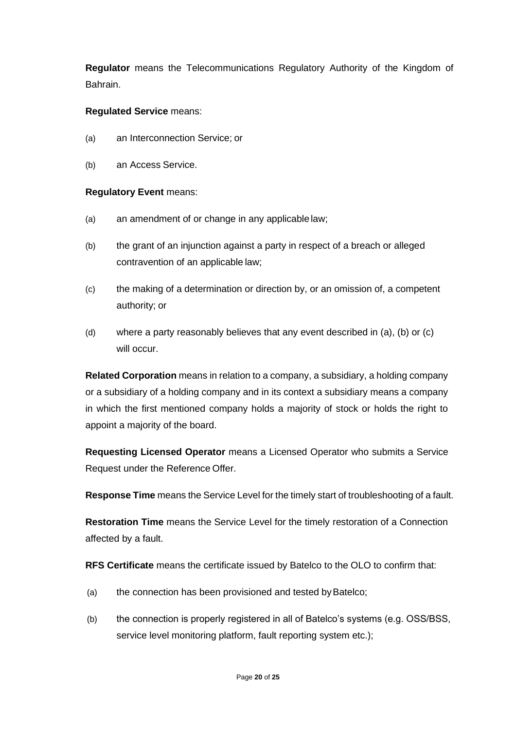**Regulator** means the Telecommunications Regulatory Authority of the Kingdom of Bahrain.

# **Regulated Service** means:

- (a) an Interconnection Service; or
- (b) an Access Service.

### **Regulatory Event** means:

- (a) an amendment of or change in any applicable law;
- (b) the grant of an injunction against a party in respect of a breach or alleged contravention of an applicable law;
- (c) the making of a determination or direction by, or an omission of, a competent authority; or
- (d) where a party reasonably believes that any event described in (a), (b) or (c) will occur.

**Related Corporation** means in relation to a company, a subsidiary, a holding company or a subsidiary of a holding company and in its context a subsidiary means a company in which the first mentioned company holds a majority of stock or holds the right to appoint a majority of the board.

**Requesting Licensed Operator** means a Licensed Operator who submits a Service Request under the Reference Offer.

**Response Time** means the Service Level for the timely start of troubleshooting of a fault.

**Restoration Time** means the Service Level for the timely restoration of a Connection affected by a fault.

**RFS Certificate** means the certificate issued by Batelco to the OLO to confirm that:

- (a) the connection has been provisioned and tested by Batelco;
- (b) the connection is properly registered in all of Batelco's systems (e.g. OSS/BSS, service level monitoring platform, fault reporting system etc.);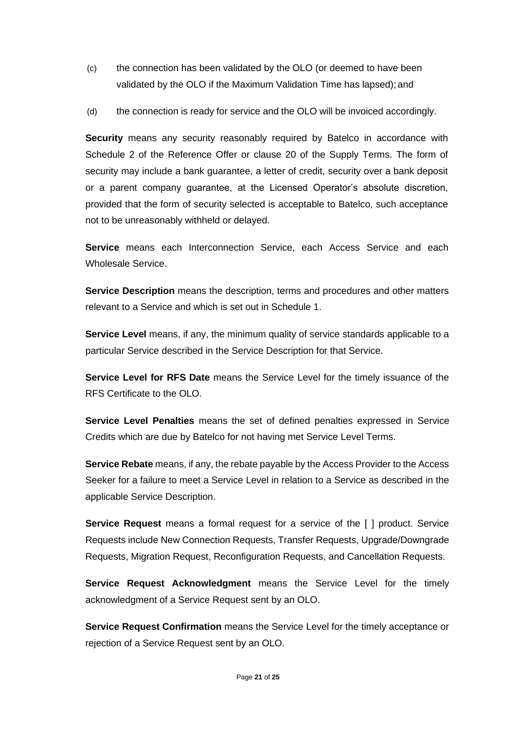- (c) the connection has been validated by the OLO (or deemed to have been validated by the OLO if the Maximum Validation Time has lapsed); and
- (d) the connection is ready for service and the OLO will be invoiced accordingly.

**Security** means any security reasonably required by Batelco in accordance with Schedule 2 of the Reference Offer or clause 20 of the Supply Terms. The form of security may include a bank guarantee, a letter of credit, security over a bank deposit or a parent company guarantee, at the Licensed Operator's absolute discretion, provided that the form of security selected is acceptable to Batelco, such acceptance not to be unreasonably withheld or delayed.

**Service** means each Interconnection Service, each Access Service and each Wholesale Service.

**Service Description** means the description, terms and procedures and other matters relevant to a Service and which is set out in Schedule 1.

**Service Level** means, if any, the minimum quality of service standards applicable to a particular Service described in the Service Description for that Service.

**Service Level for RFS Date** means the Service Level for the timely issuance of the RFS Certificate to the OLO.

**Service Level Penalties** means the set of defined penalties expressed in Service Credits which are due by Batelco for not having met Service Level Terms.

**Service Rebate** means, if any, the rebate payable by the Access Provider to the Access Seeker for a failure to meet a Service Level in relation to a Service as described in the applicable Service Description.

**Service Request** means a formal request for a service of the [ ] product. Service Requests include New Connection Requests, Transfer Requests, Upgrade/Downgrade Requests, Migration Request, Reconfiguration Requests, and Cancellation Requests.

**Service Request Acknowledgment** means the Service Level for the timely acknowledgment of a Service Request sent by an OLO.

**Service Request Confirmation** means the Service Level for the timely acceptance or rejection of a Service Request sent by an OLO.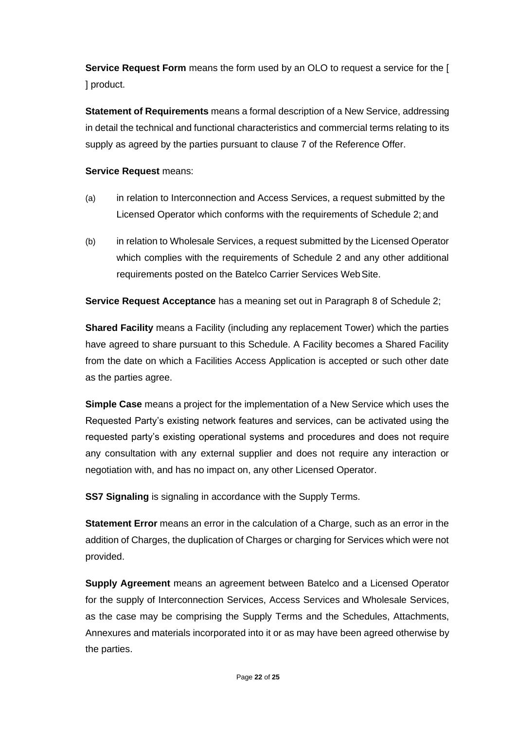**Service Request Form** means the form used by an OLO to request a service for the [ ] product.

**Statement of Requirements** means a formal description of a New Service, addressing in detail the technical and functional characteristics and commercial terms relating to its supply as agreed by the parties pursuant to clause 7 of the Reference Offer.

# **Service Request** means:

- (a) in relation to Interconnection and Access Services, a request submitted by the Licensed Operator which conforms with the requirements of Schedule 2; and
- (b) in relation to Wholesale Services, a request submitted by the Licensed Operator which complies with the requirements of Schedule 2 and any other additional requirements posted on the Batelco Carrier Services WebSite.

**Service Request Acceptance** has a meaning set out in Paragraph 8 of Schedule 2;

**Shared Facility** means a Facility (including any replacement Tower) which the parties have agreed to share pursuant to this Schedule. A Facility becomes a Shared Facility from the date on which a Facilities Access Application is accepted or such other date as the parties agree.

**Simple Case** means a project for the implementation of a New Service which uses the Requested Party's existing network features and services, can be activated using the requested party's existing operational systems and procedures and does not require any consultation with any external supplier and does not require any interaction or negotiation with, and has no impact on, any other Licensed Operator.

**SS7 Signaling** is signaling in accordance with the Supply Terms.

**Statement Error** means an error in the calculation of a Charge, such as an error in the addition of Charges, the duplication of Charges or charging for Services which were not provided.

**Supply Agreement** means an agreement between Batelco and a Licensed Operator for the supply of Interconnection Services, Access Services and Wholesale Services, as the case may be comprising the Supply Terms and the Schedules, Attachments, Annexures and materials incorporated into it or as may have been agreed otherwise by the parties.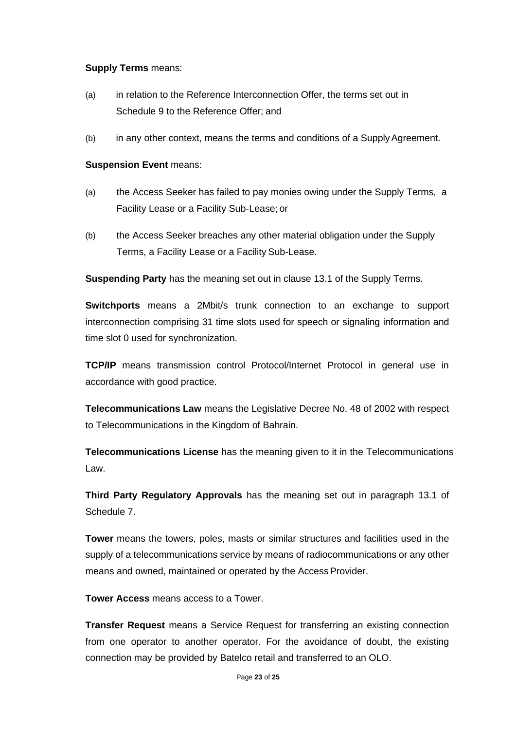#### **Supply Terms** means:

- (a) in relation to the Reference Interconnection Offer, the terms set out in Schedule 9 to the Reference Offer; and
- (b) in any other context, means the terms and conditions of a SupplyAgreement.

# **Suspension Event** means:

- (a) the Access Seeker has failed to pay monies owing under the Supply Terms, a Facility Lease or a Facility Sub-Lease; or
- (b) the Access Seeker breaches any other material obligation under the Supply Terms, a Facility Lease or a Facility Sub-Lease.

**Suspending Party** has the meaning set out in clause 13.1 of the Supply Terms.

**Switchports** means a 2Mbit/s trunk connection to an exchange to support interconnection comprising 31 time slots used for speech or signaling information and time slot 0 used for synchronization.

**TCP/IP** means transmission control Protocol/Internet Protocol in general use in accordance with good practice.

**Telecommunications Law** means the Legislative Decree No. 48 of 2002 with respect to Telecommunications in the Kingdom of Bahrain.

**Telecommunications License** has the meaning given to it in the Telecommunications Law.

**Third Party Regulatory Approvals** has the meaning set out in paragraph 13.1 of Schedule 7.

**Tower** means the towers, poles, masts or similar structures and facilities used in the supply of a telecommunications service by means of radiocommunications or any other means and owned, maintained or operated by the Access Provider.

**Tower Access** means access to a Tower.

**Transfer Request** means a Service Request for transferring an existing connection from one operator to another operator. For the avoidance of doubt, the existing connection may be provided by Batelco retail and transferred to an OLO.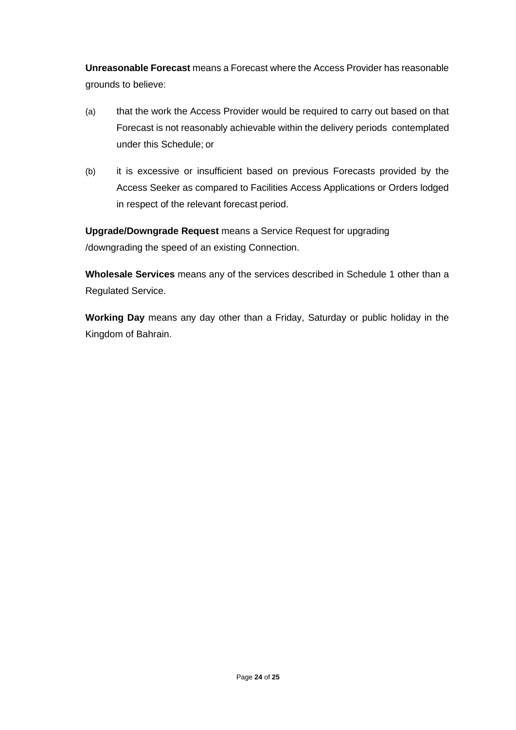**Unreasonable Forecast** means a Forecast where the Access Provider has reasonable grounds to believe:

- (a) that the work the Access Provider would be required to carry out based on that Forecast is not reasonably achievable within the delivery periods contemplated under this Schedule; or
- (b) it is excessive or insufficient based on previous Forecasts provided by the Access Seeker as compared to Facilities Access Applications or Orders lodged in respect of the relevant forecast period.

**Upgrade/Downgrade Request** means a Service Request for upgrading /downgrading the speed of an existing Connection.

**Wholesale Services** means any of the services described in Schedule 1 other than a Regulated Service.

**Working Day** means any day other than a Friday, Saturday or public holiday in the Kingdom of Bahrain.